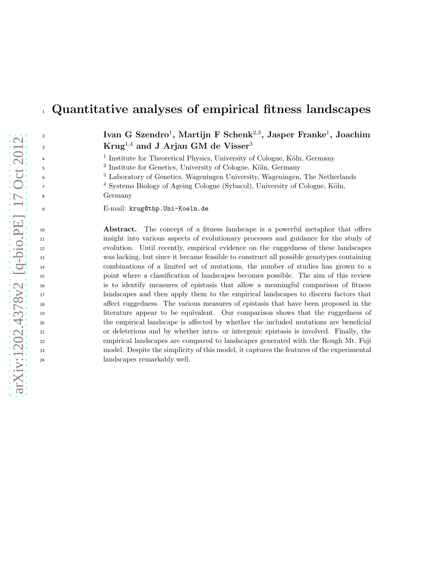# Quantitative analyses of empirical fitness landscapes

 $\mathbf{I}$ van G Szendro<sup>1</sup>, Martijn F Schenk<sup>2,3</sup>, Jasper Franke<sup>1</sup>, Joachim Krug<sup>1,4</sup> and J Arjan GM de Visser<sup>3</sup>

<sup>1</sup> Institute for Theoretical Physics, University of Cologne, Köln, Germany

<sup>2</sup> Institute for Genetics, University of Cologne, Köln, Germany

3 Laboratory of Genetics, Wageningen University, Wageningen, The Netherlands

<sup>4</sup> Systems Biology of Ageing Cologne (Sybacol), University of Cologne, Köln, Germany

E-mail: krug@thp.Uni-Koeln.de

 Abstract. The concept of a fitness landscape is a powerful metaphor that offers insight into various aspects of evolutionary processes and guidance for the study of evolution. Until recently, empirical evidence on the ruggedness of these landscapes was lacking, but since it became feasible to construct all possible genotypes containing combinations of a limited set of mutations, the number of studies has grown to a point where a classification of landscapes becomes possible. The aim of this review is to identify measures of epistasis that allow a meaningful comparison of fitness landscapes and then apply them to the empirical landscapes to discern factors that affect ruggedness. The various measures of epistasis that have been proposed in the literature appear to be equivalent. Our comparison shows that the ruggedness of the empirical landscape is affected by whether the included mutations are beneficial or deleterious and by whether intra- or intergenic epistasis is involved. Finally, the empirical landscapes are compared to landscapes generated with the Rough Mt. Fuji model. Despite the simplicity of this model, it captures the features of the experimental landscapes remarkably well.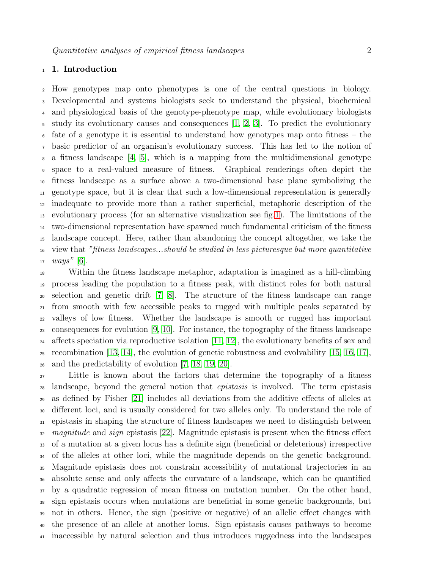# 1. Introduction

 How genotypes map onto phenotypes is one of the central questions in biology. Developmental and systems biologists seek to understand the physical, biochemical and physiological basis of the genotype-phenotype map, while evolutionary biologists study its evolutionary causes and consequences [\[1,](#page-21-0) [2,](#page-21-1) [3\]](#page-21-2). To predict the evolutionary fate of a genotype it is essential to understand how genotypes map onto fitness – the basic predictor of an organism's evolutionary success. This has led to the notion of a fitness landscape [\[4,](#page-21-3) [5\]](#page-21-4), which is a mapping from the multidimensional genotype space to a real-valued measure of fitness. Graphical renderings often depict the fitness landscape as a surface above a two-dimensional base plane symbolizing the genotype space, but it is clear that such a low-dimensional representation is generally inadequate to provide more than a rather superficial, metaphoric description of the evolutionary process (for an alternative visualization see fig[.1\)](#page-2-0). The limitations of the two-dimensional representation have spawned much fundamental criticism of the fitness landscape concept. Here, rather than abandoning the concept altogether, we take the view that "fitness landscapes...should be studied in less picturesque but more quantitative  $17 \; ways'' [6].$  $17 \; ways'' [6].$  $17 \; ways'' [6].$ 

 Within the fitness landscape metaphor, adaptation is imagined as a hill-climbing process leading the population to a fitness peak, with distinct roles for both natural selection and genetic drift [\[7,](#page-21-6) [8\]](#page-21-7). The structure of the fitness landscape can range from smooth with few accessible peaks to rugged with multiple peaks separated by valleys of low fitness. Whether the landscape is smooth or rugged has important 23 consequences for evolution  $[9, 10]$  $[9, 10]$ . For instance, the topography of the fitness landscape <sup>24</sup> affects speciation via reproductive isolation [\[11,](#page-21-10) [12\]](#page-21-11), the evolutionary benefits of sex and 25 recombination [\[13,](#page-21-12) [14\]](#page-21-13), the evolution of genetic robustness and evolvability [\[15,](#page-21-14) [16,](#page-21-15) [17\]](#page-21-16). and the predictability of evolution [\[7,](#page-21-6) [18,](#page-21-17) [19,](#page-21-18) [20\]](#page-21-19).

 Little is known about the factors that determine the topography of a fitness landscape, beyond the general notion that epistasis is involved. The term epistasis as defined by Fisher [\[21\]](#page-21-20) includes all deviations from the additive effects of alleles at different loci, and is usually considered for two alleles only. To understand the role of epistasis in shaping the structure of fitness landscapes we need to distinguish between  $\alpha$  magnitude and sign epistasis [\[22\]](#page-21-21). Magnitude epistasis is present when the fitness effect of a mutation at a given locus has a definite sign (beneficial or deleterious) irrespective <sup>34</sup> of the alleles at other loci, while the magnitude depends on the genetic background. Magnitude epistasis does not constrain accessibility of mutational trajectories in an absolute sense and only affects the curvature of a landscape, which can be quantified by a quadratic regression of mean fitness on mutation number. On the other hand, sign epistasis occurs when mutations are beneficial in some genetic backgrounds, but not in others. Hence, the sign (positive or negative) of an allelic effect changes with the presence of an allele at another locus. Sign epistasis causes pathways to become inaccessible by natural selection and thus introduces ruggedness into the landscapes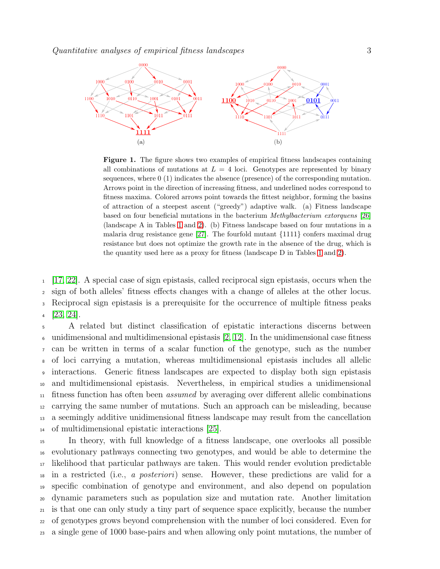

<span id="page-2-0"></span>Figure 1. The figure shows two examples of empirical fitness landscapes containing all combinations of mutations at  $L = 4$  loci. Genotypes are represented by binary sequences, where 0 (1) indicates the absence (presence) of the corresponding mutation. Arrows point in the direction of increasing fitness, and underlined nodes correspond to fitness maxima. Colored arrows point towards the fittest neighbor, forming the basins of attraction of a steepest ascent ("greedy") adaptive walk. (a) Fitness landscape based on four beneficial mutations in the bacterium *Methylbacterium extorquens* [\[26\]](#page-21-22) (landscape A in Tables [1](#page-8-0) and [2\)](#page-15-0). (b) Fitness landscape based on four mutations in a malaria drug resistance gene  $[27]$ . The fourfold mutant  $\{1111\}$  confers maximal drug resistance but does not optimize the growth rate in the absence of the drug, which is the quantity used here as a proxy for fitness (landscape D in Tables [1](#page-8-0) and [2\)](#page-15-0).

 [\[17,](#page-21-16) [22\]](#page-21-21). A special case of sign epistasis, called reciprocal sign epistasis, occurs when the sign of both alleles' fitness effects changes with a change of alleles at the other locus. Reciprocal sign epistasis is a prerequisite for the occurrence of multiple fitness peaks  $4$  [\[23,](#page-21-24) [24\]](#page-21-25).

 A related but distinct classification of epistatic interactions discerns between 6 unidimensional and multidimensional epistasis  $[2, 12]$  $[2, 12]$ . In the unidimensional case fitness can be written in terms of a scalar function of the genotype, such as the number of loci carrying a mutation, whereas multidimensional epistasis includes all allelic interactions. Generic fitness landscapes are expected to display both sign epistasis and multidimensional epistasis. Nevertheless, in empirical studies a unidimensional fitness function has often been assumed by averaging over different allelic combinations carrying the same number of mutations. Such an approach can be misleading, because a seemingly additive unidimensional fitness landscape may result from the cancellation of multidimensional epistatic interactions [\[25\]](#page-21-26).

 In theory, with full knowledge of a fitness landscape, one overlooks all possible evolutionary pathways connecting two genotypes, and would be able to determine the likelihood that particular pathways are taken. This would render evolution predictable in a restricted (i.e., a posteriori) sense. However, these predictions are valid for a specific combination of genotype and environment, and also depend on population dynamic parameters such as population size and mutation rate. Another limitation is that one can only study a tiny part of sequence space explicitly, because the number of genotypes grows beyond comprehension with the number of loci considered. Even for a single gene of 1000 base-pairs and when allowing only point mutations, the number of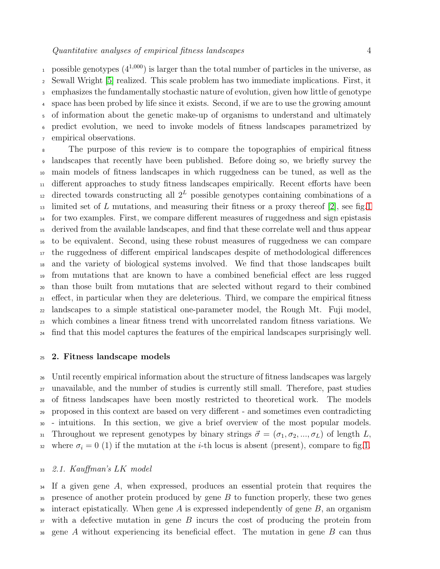possible genotypes  $(4^{1,000})$  is larger than the total number of particles in the universe, as Sewall Wright [\[5\]](#page-21-4) realized. This scale problem has two immediate implications. First, it emphasizes the fundamentally stochastic nature of evolution, given how little of genotype space has been probed by life since it exists. Second, if we are to use the growing amount of information about the genetic make-up of organisms to understand and ultimately predict evolution, we need to invoke models of fitness landscapes parametrized by empirical observations.

 The purpose of this review is to compare the topographies of empirical fitness landscapes that recently have been published. Before doing so, we briefly survey the main models of fitness landscapes in which ruggedness can be tuned, as well as the different approaches to study fitness landscapes empirically. Recent efforts have been <sup>12</sup> directed towards constructing all  $2^L$  possible genotypes containing combinations of a  $_{13}$  limited set of L mutations, and measuring their fitness or a proxy thereof [\[2\]](#page-21-1), see fig[.1](#page-2-0) for two examples. First, we compare different measures of ruggedness and sign epistasis derived from the available landscapes, and find that these correlate well and thus appear to be equivalent. Second, using these robust measures of ruggedness we can compare the ruggedness of different empirical landscapes despite of methodological differences and the variety of biological systems involved. We find that those landscapes built from mutations that are known to have a combined beneficial effect are less rugged than those built from mutations that are selected without regard to their combined effect, in particular when they are deleterious. Third, we compare the empirical fitness landscapes to a simple statistical one-parameter model, the Rough Mt. Fuji model, which combines a linear fitness trend with uncorrelated random fitness variations. We find that this model captures the features of the empirical landscapes surprisingly well.

## 2. Fitness landscape models

 Until recently empirical information about the structure of fitness landscapes was largely unavailable, and the number of studies is currently still small. Therefore, past studies of fitness landscapes have been mostly restricted to theoretical work. The models proposed in this context are based on very different - and sometimes even contradicting - intuitions. In this section, we give a brief overview of the most popular models. 31 Throughout we represent genotypes by binary strings  $\vec{\sigma} = (\sigma_1, \sigma_2, ..., \sigma_L)$  of length L, 32 where  $\sigma_i = 0$  (1) if the mutation at the *i*-th locus is absent (present), compare to fig[.1.](#page-2-0)

#### 2.1. Kauffman's LK model

 If a given gene A, when expressed, produces an essential protein that requires the presence of another protein produced by gene B to function properly, these two genes <sup>36</sup> interact epistatically. When gene A is expressed independently of gene  $B$ , an organism with a defective mutation in gene B incurs the cost of producing the protein from  $\gamma$ <sup>38</sup> gene A without experiencing its beneficial effect. The mutation in gene B can thus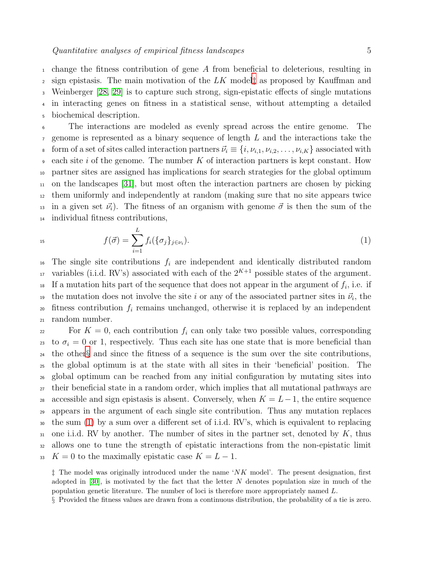change the fitness contribution of gene A from beneficial to deleterious, resulting in 2 sign epistasis. The main motivation of the  $LK$  model as proposed by Kauffman and Weinberger [\[28,](#page-21-27) [29\]](#page-21-28) is to capture such strong, sign-epistatic effects of single mutations in interacting genes on fitness in a statistical sense, without attempting a detailed biochemical description.

 The interactions are modeled as evenly spread across the entire genome. The genome is represented as a binary sequence of length L and the interactions take the 8 form of a set of sites called interaction partners  $\vec{\nu}_i \equiv \{i, \nu_{i,1}, \nu_{i,2}, \ldots, \nu_{i,K}\}\$  associated with each site i of the genome. The number K of interaction partners is kept constant. How partner sites are assigned has implications for search strategies for the global optimum on the landscapes [\[31\]](#page-21-29), but most often the interaction partners are chosen by picking them uniformly and independently at random (making sure that no site appears twice <sup>13</sup> in a given set  $\vec{v}_i$ ). The fitness of an organism with genome  $\vec{\sigma}$  is then the sum of the individual fitness contributions,

<span id="page-4-2"></span>

$$
f(\vec{\sigma}) = \sum_{i=1}^{L} f_i(\{\sigma_j\}_{j \in \nu_i}).
$$
\n(1)

<sup>16</sup> The single site contributions  $f_i$  are independent and identically distributed random <sup>17</sup> variables (i.i.d. RV's) associated with each of the  $2^{K+1}$  possible states of the argument.  $\text{18}$  If a mutation hits part of the sequence that does not appear in the argument of  $f_i$ , i.e. if <sup>19</sup> the mutation does not involve the site i or any of the associated partner sites in  $\vec{\nu}_i$ , the 20 fitness contribution  $f_i$  remains unchanged, otherwise it is replaced by an independent <sup>21</sup> random number.

<sup>22</sup> For  $K = 0$ , each contribution  $f_i$  can only take two possible values, corresponding 23 to  $\sigma_i = 0$  or 1, respectively. Thus each site has one state that is more beneficial than <sup>24</sup> the other[§](#page-4-1) and since the fitness of a sequence is the sum over the site contributions, <sup>25</sup> the global optimum is at the state with all sites in their 'beneficial' position. The <sup>26</sup> global optimum can be reached from any initial configuration by mutating sites into <sup>27</sup> their beneficial state in a random order, which implies that all mutational pathways are 28 accessible and sign epistasis is absent. Conversely, when  $K = L-1$ , the entire sequence <sup>29</sup> appears in the argument of each single site contribution. Thus any mutation replaces <sup>30</sup> the sum [\(1\)](#page-4-2) by a sum over a different set of i.i.d. RV's, which is equivalent to replacing 31 one i.i.d. RV by another. The number of sites in the partner set, denoted by  $K$ , thus <sup>32</sup> allows one to tune the strength of epistatic interactions from the non-epistatic limit 33 K = 0 to the maximally epistatic case  $K = L - 1$ .

<span id="page-4-0"></span> $\ddagger$  The model was originally introduced under the name 'NK model'. The present designation, first adopted in  $[30]$ , is motivated by the fact that the letter N denotes population size in much of the population genetic literature. The number of loci is therefore more appropriately named L.

<span id="page-4-1"></span>§ Provided the fitness values are drawn from a continuous distribution, the probability of a tie is zero.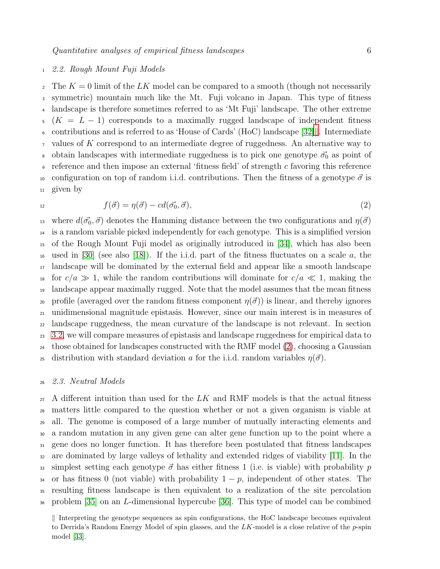## <span id="page-5-2"></span><sup>1</sup> 2.2. Rough Mount Fuji Models

<sup>2</sup> The  $K = 0$  limit of the LK model can be compared to a smooth (though not necessarily <sup>3</sup> symmetric) mountain much like the Mt. Fuji volcano in Japan. This type of fitness <sup>4</sup> landscape is therefore sometimes referred to as 'Mt Fuji' landscape. The other extreme  $5 (K = L - 1)$  corresponds to a maximally rugged landscape of independent fitness 6 contributions and is referred to as 'House of Cards' (HoC) landscape [\[32\]](#page-21-31). Intermediate  $\tau$  values of K correspond to an intermediate degree of ruggedness. An alternative way to <sup>8</sup> obtain landscapes with intermediate ruggedness is to pick one genotype  $\vec{\sigma_0}$  as point of eference and then impose an external 'fitness field' of strength c favoring this reference 10 configuration on top of random i.i.d. contributions. Then the fitness of a genotype  $\vec{\sigma}$  is <sup>11</sup> given by

$$
^{12}
$$

<span id="page-5-1"></span>
$$
f(\vec{\sigma}) = \eta(\vec{\sigma}) - cd(\vec{\sigma_0}, \vec{\sigma}), \qquad (2)
$$

13 where  $d(\vec{\sigma_0}, \vec{\sigma})$  denotes the Hamming distance between the two configurations and  $\eta(\vec{\sigma})$ <sup>14</sup> is a random variable picked independently for each genotype. This is a simplified version <sup>15</sup> of the Rough Mount Fuji model as originally introduced in [\[34\]](#page-21-32), which has also been <sup>16</sup> used in [\[30\]](#page-21-30) (see also [\[18\]](#page-21-17)). If the i.i.d. part of the fitness fluctuates on a scale a, the <sup>17</sup> landscape will be dominated by the external field and appear like a smooth landscape 18 for  $c/a \gg 1$ , while the random contributions will dominate for  $c/a \ll 1$ , making the <sup>19</sup> landscape appear maximally rugged. Note that the model assumes that the mean fitness 20 profile (averaged over the random fitness component  $\eta(\vec{\sigma})$ ) is linear, and thereby ignores <sup>21</sup> unidimensional magnitude epistasis. However, since our main interest is in measures of <sup>22</sup> landscape ruggedness, the mean curvature of the landscape is not relevant. In section <sup>23</sup> [3.2,](#page-9-0) we will compare measures of epistasis and landscape ruggedness for empirical data to <sup>24</sup> those obtained for landscapes constructed with the RMF model  $(2)$ , choosing a Gaussian 25 distribution with standard deviation a for the i.i.d. random variables  $\eta(\vec{\sigma})$ .

## <sup>26</sup> 2.3. Neutral Models

 A different intuition than used for the LK and RMF models is that the actual fitness matters little compared to the question whether or not a given organism is viable at all. The genome is composed of a large number of mutually interacting elements and a random mutation in any given gene can alter gene function up to the point where a gene does no longer function. It has therefore been postulated that fitness landscapes are dominated by large valleys of lethality and extended ridges of viability [\[11\]](#page-21-10). In the 33 simplest setting each genotype  $\vec{\sigma}$  has either fitness 1 (i.e. is viable) with probability p 34 or has fitness 0 (not viable) with probability  $1 - p$ , independent of other states. The resulting fitness landscape is then equivalent to a realization of the site percolation problem [\[35\]](#page-22-0) on an L-dimensional hypercube [\[36\]](#page-22-1). This type of model can be combined

<span id="page-5-0"></span> $\parallel$  Interpreting the genotype sequences as spin configurations, the HoC landscape becomes equivalent to Derrida's Random Energy Model of spin glasses, and the  $LK$ -model is a close relative of the  $p$ -spin model [\[33\]](#page-21-33).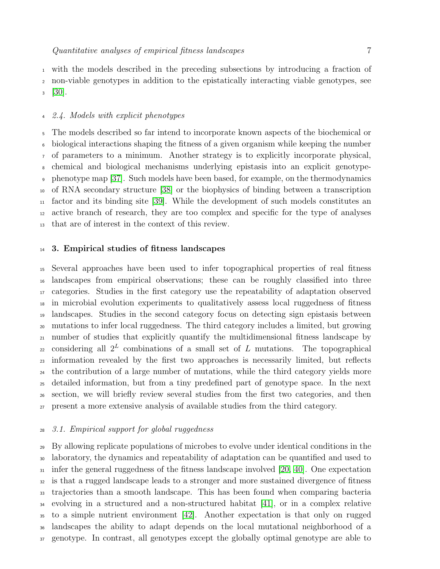with the models described in the preceding subsections by introducing a fraction of non-viable genotypes in addition to the epistatically interacting viable genotypes, see  $3 \quad [30].$  $3 \quad [30].$  $3 \quad [30].$ 

## 2.4. Models with explicit phenotypes

 The models described so far intend to incorporate known aspects of the biochemical or biological interactions shaping the fitness of a given organism while keeping the number of parameters to a minimum. Another strategy is to explicitly incorporate physical, chemical and biological mechanisms underlying epistasis into an explicit genotype- phenotype map [\[37\]](#page-22-2). Such models have been based, for example, on the thermodynamics of RNA secondary structure [\[38\]](#page-22-3) or the biophysics of binding between a transcription factor and its binding site [\[39\]](#page-22-4). While the development of such models constitutes an active branch of research, they are too complex and specific for the type of analyses that are of interest in the context of this review.

## 3. Empirical studies of fitness landscapes

 Several approaches have been used to infer topographical properties of real fitness landscapes from empirical observations; these can be roughly classified into three categories. Studies in the first category use the repeatability of adaptation observed in microbial evolution experiments to qualitatively assess local ruggedness of fitness landscapes. Studies in the second category focus on detecting sign epistasis between mutations to infer local ruggedness. The third category includes a limited, but growing number of studies that explicitly quantify the multidimensional fitness landscape by 22 considering all  $2^L$  combinations of a small set of L mutations. The topographical information revealed by the first two approaches is necessarily limited, but reflects the contribution of a large number of mutations, while the third category yields more detailed information, but from a tiny predefined part of genotype space. In the next section, we will briefly review several studies from the first two categories, and then present a more extensive analysis of available studies from the third category.

## 3.1. Empirical support for global ruggedness

 By allowing replicate populations of microbes to evolve under identical conditions in the laboratory, the dynamics and repeatability of adaptation can be quantified and used to infer the general ruggedness of the fitness landscape involved [\[20,](#page-21-19) [40\]](#page-22-5). One expectation is that a rugged landscape leads to a stronger and more sustained divergence of fitness trajectories than a smooth landscape. This has been found when comparing bacteria evolving in a structured and a non-structured habitat [\[41\]](#page-22-6), or in a complex relative to a simple nutrient environment [\[42\]](#page-22-7). Another expectation is that only on rugged landscapes the ability to adapt depends on the local mutational neighborhood of a genotype. In contrast, all genotypes except the globally optimal genotype are able to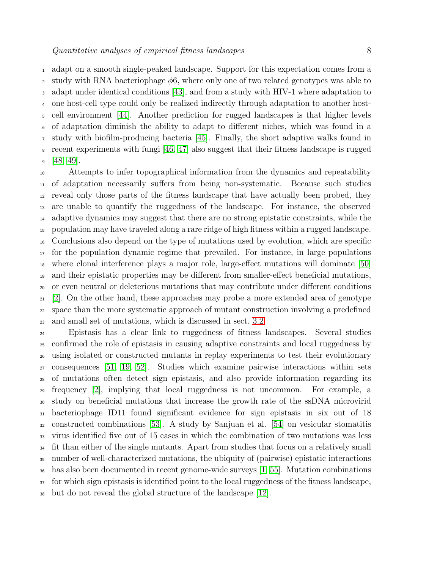adapt on a smooth single-peaked landscape. Support for this expectation comes from a 2 study with RNA bacteriophage  $\phi$ 6, where only one of two related genotypes was able to adapt under identical conditions [\[43\]](#page-22-8), and from a study with HIV-1 where adaptation to one host-cell type could only be realized indirectly through adaptation to another host- cell environment [\[44\]](#page-22-9). Another prediction for rugged landscapes is that higher levels of adaptation diminish the ability to adapt to different niches, which was found in a study with biofilm-producing bacteria [\[45\]](#page-22-10). Finally, the short adaptive walks found in recent experiments with fungi [\[46,](#page-22-11) [47\]](#page-22-12) also suggest that their fitness landscape is rugged  $9 \t[48, 49]$  $9 \t[48, 49]$  $9 \t[48, 49]$ .

 Attempts to infer topographical information from the dynamics and repeatability of adaptation necessarily suffers from being non-systematic. Because such studies reveal only those parts of the fitness landscape that have actually been probed, they are unable to quantify the ruggedness of the landscape. For instance, the observed adaptive dynamics may suggest that there are no strong epistatic constraints, while the population may have traveled along a rare ridge of high fitness within a rugged landscape. Conclusions also depend on the type of mutations used by evolution, which are specific for the population dynamic regime that prevailed. For instance, in large populations where clonal interference plays a major role, large-effect mutations will dominate [\[50\]](#page-22-15) and their epistatic properties may be different from smaller-effect beneficial mutations, or even neutral or deleterious mutations that may contribute under different conditions [\[2\]](#page-21-1). On the other hand, these approaches may probe a more extended area of genotype space than the more systematic approach of mutant construction involving a predefined and small set of mutations, which is discussed in sect. [3.2.](#page-9-0)

 Epistasis has a clear link to ruggedness of fitness landscapes. Several studies confirmed the role of epistasis in causing adaptive constraints and local ruggedness by using isolated or constructed mutants in replay experiments to test their evolutionary consequences [\[51,](#page-22-16) [19,](#page-21-18) [52\]](#page-22-17). Studies which examine pairwise interactions within sets of mutations often detect sign epistasis, and also provide information regarding its frequency [\[2\]](#page-21-1), implying that local ruggedness is not uncommon. For example, a study on beneficial mutations that increase the growth rate of the ssDNA microvirid bacteriophage ID11 found significant evidence for sign epistasis in six out of 18 constructed combinations [\[53\]](#page-22-18). A study by Sanjuan et al. [\[54\]](#page-22-19) on vesicular stomatitis virus identified five out of 15 cases in which the combination of two mutations was less <sup>34</sup> fit than either of the single mutants. Apart from studies that focus on a relatively small number of well-characterized mutations, the ubiquity of (pairwise) epistatic interactions has also been documented in recent genome-wide surveys [\[1,](#page-21-0) [55\]](#page-22-20). Mutation combinations <sup>37</sup> for which sign epistasis is identified point to the local ruggedness of the fitness landscape,

but do not reveal the global structure of the landscape [\[12\]](#page-21-11).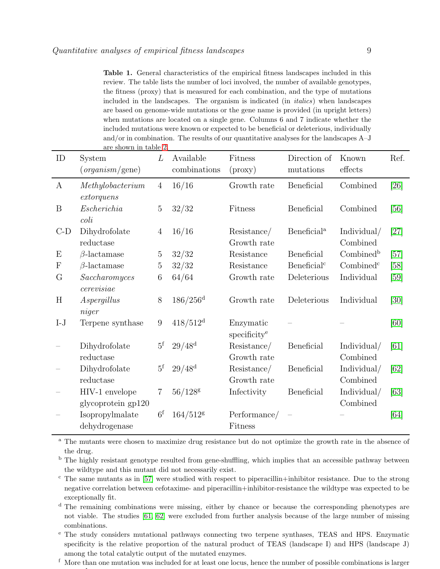<span id="page-8-0"></span>Table 1. General characteristics of the empirical fitness landscapes included in this review. The table lists the number of loci involved, the number of available genotypes, the fitness (proxy) that is measured for each combination, and the type of mutations included in the landscapes. The organism is indicated (in *italics*) when landscapes are based on genome-wide mutations or the gene name is provided (in upright letters) when mutations are located on a single gene. Columns 6 and 7 indicate whether the included mutations were known or expected to be beneficial or deleterious, individually and/or in combination. The results of our quantitative analyses for the landscapes A–J are shown in table [2.](#page-15-0)

| ID                        | System                                      |                  | Available              | Fitness                               | Direction of            | Known                   | Ref.   |
|---------------------------|---------------------------------------------|------------------|------------------------|---------------------------------------|-------------------------|-------------------------|--------|
|                           | (organism/gene)                             |                  | combinations           | $(\text{proxy})$                      | mutations               | effects                 |        |
| $\boldsymbol{A}$          | Methylobacterium                            | $\overline{4}$   | 16/16                  | Growth rate                           | Beneficial              | Combined                | [26]   |
| B                         | extor quens<br>Escherichia<br>$\text{col}i$ | 5                | 32/32                  | Fitness                               | Beneficial              | Combined                | [56]   |
| $C-D$                     | Dihydrofolate<br>reductase                  | $\overline{4}$   | 16/16                  | Resistance/<br>Growth rate            | Beneficial <sup>a</sup> | Individual/<br>Combined | $[27]$ |
| E                         | $\beta$ -lactamase                          | 5                | 32/32                  | Resistance                            | Beneficial              | Combined <sup>b</sup>   | $[57]$ |
| $\boldsymbol{\mathrm{F}}$ | $\beta$ -lactamase                          | $\overline{5}$   | 32/32                  | Resistance                            | Beneficial <sup>c</sup> | Combined <sup>c</sup>   | [58]   |
| G                         | Saccharomyces<br>cerevisiae                 | 6                | 64/64                  | Growth rate                           | Deleterious             | Individual              | [59]   |
| H                         | Aspergillus<br>niger                        | 8                | $186/256$ <sup>d</sup> | Growth rate                           | Deleterious             | Individual              | [30]   |
| $I-J$                     | Terpene synthase                            | $\boldsymbol{9}$ | $418/512^{\rm d}$      | Enzymatic<br>specificity <sup>e</sup> |                         |                         | [60]   |
|                           | Dihydrofolate<br>reductase                  | $5^{\rm f}$      | $29/48^{\rm d}$        | Resistance/<br>Growth rate            | Beneficial              | Individual/<br>Combined | [61]   |
|                           | Dihydrofolate<br>reductase                  | $5^{\rm f}$      | $29/48^{\rm d}$        | Resistance/<br>Growth rate            | Beneficial              | Individual/<br>Combined | [62]   |
|                           | HIV-1 envelope<br>glycoprotein gp120        | 7                | $56/128$ g             | Infectivity                           | Beneficial              | Individual/<br>Combined | [63]   |
|                           | Isopropylmalate<br>dehydrogenase            | 6 <sup>f</sup>   | $164/512$ g            | Performance/<br>Fitness               |                         |                         | [64]   |

<sup>a</sup> The mutants were chosen to maximize drug resistance but do not optimize the growth rate in the absence of the drug.

<sup>b</sup> The highly resistant genotype resulted from gene-shuffling, which implies that an accessible pathway between the wildtype and this mutant did not necessarily exist.

<sup>c</sup> The same mutants as in [\[57\]](#page-22-22) were studied with respect to piperacillin+inhibitor resistance. Due to the strong negative correlation between cefotaxime- and piperacillin+inhibitor-resistance the wildtype was expected to be exceptionally fit.

<sup>d</sup> The remaining combinations were missing, either by chance or because the corresponding phenotypes are not viable. The studies [\[61,](#page-22-26) [62\]](#page-22-27) were excluded from further analysis because of the large number of missing combinations.

<sup>e</sup> The study considers mutational pathways connecting two terpene synthases, TEAS and HPS. Enzymatic specificity is the relative proportion of the natural product of TEAS (landscape I) and HPS (landscape J) among the total catalytic output of the mutated enzymes.

f More than one mutation was included for at least one locus, hence the number of possible combinations is larger than 2L. Than 2L.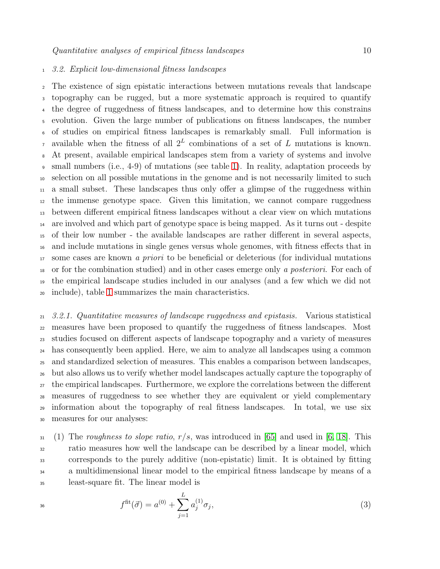## <span id="page-9-0"></span>3.2. Explicit low-dimensional fitness landscapes

 The existence of sign epistatic interactions between mutations reveals that landscape topography can be rugged, but a more systematic approach is required to quantify the degree of ruggedness of fitness landscapes, and to determine how this constrains evolution. Given the large number of publications on fitness landscapes, the number of studies on empirical fitness landscapes is remarkably small. Full information is <sup>7</sup> available when the fitness of all  $2^L$  combinations of a set of L mutations is known. At present, available empirical landscapes stem from a variety of systems and involve small numbers (i.e., 4-9) of mutations (see table [1\)](#page-8-0). In reality, adaptation proceeds by selection on all possible mutations in the genome and is not necessarily limited to such a small subset. These landscapes thus only offer a glimpse of the ruggedness within the immense genotype space. Given this limitation, we cannot compare ruggedness between different empirical fitness landscapes without a clear view on which mutations are involved and which part of genotype space is being mapped. As it turns out - despite of their low number - the available landscapes are rather different in several aspects, and include mutations in single genes versus whole genomes, with fitness effects that in <sup>17</sup> some cases are known *a priori* to be beneficial or deleterious (for individual mutations or for the combination studied) and in other cases emerge only a posteriori. For each of the empirical landscape studies included in our analyses (and a few which we did not include), table [1](#page-8-0) summarizes the main characteristics.

 3.2.1. Quantitative measures of landscape ruggedness and epistasis. Various statistical measures have been proposed to quantify the ruggedness of fitness landscapes. Most studies focused on different aspects of landscape topography and a variety of measures has consequently been applied. Here, we aim to analyze all landscapes using a common and standardized selection of measures. This enables a comparison between landscapes, but also allows us to verify whether model landscapes actually capture the topography of the empirical landscapes. Furthermore, we explore the correlations between the different measures of ruggedness to see whether they are equivalent or yield complementary information about the topography of real fitness landscapes. In total, we use six measures for our analyses:

 $31 \quad (1)$  The roughness to slope ratio,  $r/s$ , was introduced in [\[65\]](#page-22-30) and used in [\[6,](#page-21-5) [18\]](#page-21-17). This ratio measures how well the landscape can be described by a linear model, which corresponds to the purely additive (non-epistatic) limit. It is obtained by fitting a multidimensional linear model to the empirical fitness landscape by means of a least-square fit. The linear model is

<span id="page-9-1"></span>
$$
f^{\text{fit}}(\vec{\sigma}) = a^{(0)} + \sum_{j=1}^{L} a_j^{(1)} \sigma_j,
$$
\n(3)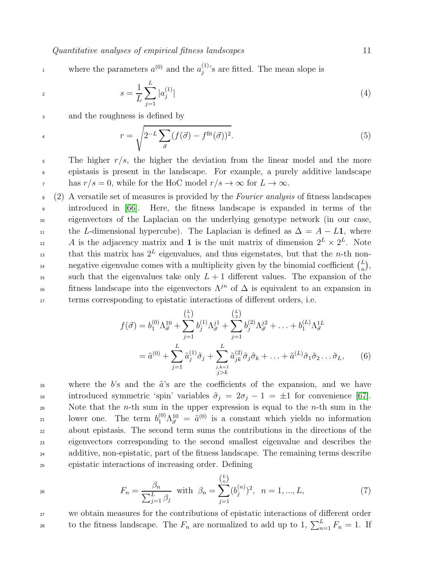where the parameters  $a^{(0)}$  and the  $a_i^{(1)}$ where the parameters  $a^{(0)}$  and the  $a_j^{(1)}$ 's are fitted. The mean slope is

$$
s = \frac{1}{L} \sum_{j=1}^{L} |a_j^{(1)}| \tag{4}
$$

<sup>3</sup> and the roughness is defined by

$$
r = \sqrt{2^{-L} \sum_{\vec{\sigma}} (f(\vec{\sigma}) - f^{\text{fit}}(\vec{\sigma}))^2}.
$$
 (5)

 $\frac{1}{5}$  The higher r/s, the higher the deviation from the linear model and the more <sup>6</sup> epistasis is present in the landscape. For example, a purely additive landscape has  $r/s = 0$ , while for the HoC model  $r/s \to \infty$  for  $L \to \infty$ .

<sup>8</sup> (2) A versatile set of measures is provided by the Fourier analysis of fitness landscapes <sup>9</sup> introduced in [\[66\]](#page-22-31). Here, the fitness landscape is expanded in terms of the <sup>10</sup> eigenvectors of the Laplacian on the underlying genotype network (in our case, 11 the L-dimensional hypercube). The Laplacian is defined as  $\Delta = A - L1$ , where <sup>12</sup> A is the adjacency matrix and **1** is the unit matrix of dimension  $2^L \times 2^L$ . Note that this matrix has  $2^L$  eigenvalues, and thus eigenstates, but that the *n*-th nonnegative eigenvalue comes with a multiplicity given by the binomial coefficient  $\binom{L}{n}$ negative eigenvalue comes with a multiplicity given by the binomial coefficient  $\binom{L}{n}$ , <sup>15</sup> such that the eigenvalues take only  $L + 1$  different values. The expansion of the fitness landscape into the eigenvectors  $\Lambda^{jn}$  of  $\Delta$  is equivalent to an expansion in <sup>17</sup> terms corresponding to epistatic interactions of different orders, i.e.

$$
f(\vec{\sigma}) = b_1^{(0)} \Lambda_{\vec{\sigma}}^{10} + \sum_{j=1}^{\binom{L}{1}} b_j^{(1)} \Lambda_{\vec{\sigma}}^{j1} + \sum_{j=1}^{\binom{L}{2}} b_j^{(2)} \Lambda_{\vec{\sigma}}^{j2} + \ldots + b_1^{(L)} \Lambda_{\vec{\sigma}}^{1L}
$$
  
=  $\tilde{a}^{(0)} + \sum_{j=1}^L \tilde{a}_j^{(1)} \tilde{\sigma}_j + \sum_{\substack{j,k=1 \ j>k}}^L \tilde{a}_{jk}^{(2)} \tilde{\sigma}_j \tilde{\sigma}_k + \ldots + \tilde{a}^{(L)} \tilde{\sigma}_1 \tilde{\sigma}_2 \ldots \tilde{\sigma}_L,$  (6)

<sup>18</sup> where the b's and the  $\tilde{a}$ 's are the coefficients of the expansion, and we have 19 introduced symmetric 'spin' variables  $\tilde{\sigma}_j = 2\sigma_j - 1 = \pm 1$  for convenience [\[67\]](#page-22-32). 20 Note that the *n*-th sum in the upper expression is equal to the *n*-th sum in the 21 lower one. The term  $b_1^{(0)} \Lambda_{\vec{\sigma}}^{10} = \tilde{a}^{(0)}$  is a constant which yields no information <sup>22</sup> about epistasis. The second term sums the contributions in the directions of the <sup>23</sup> eigenvectors corresponding to the second smallest eigenvalue and describes the <sup>24</sup> additive, non-epistatic, part of the fitness landscape. The remaining terms describe <sup>25</sup> epistatic interactions of increasing order. Defining

$$
F_n = \frac{\beta_n}{\sum_{j=1}^L \beta_j} \text{ with } \beta_n = \sum_{j=1}^{\binom{L}{n}} (b_j^{(n)})^2, \quad n = 1, ..., L,
$$
 (7)

<sup>27</sup> we obtain measures for the contributions of epistatic interactions of different order to the fitness landscape. The  $F_n$  are normalized to add up to 1,  $\sum_{n=1}^{L} F_n = 1$ . If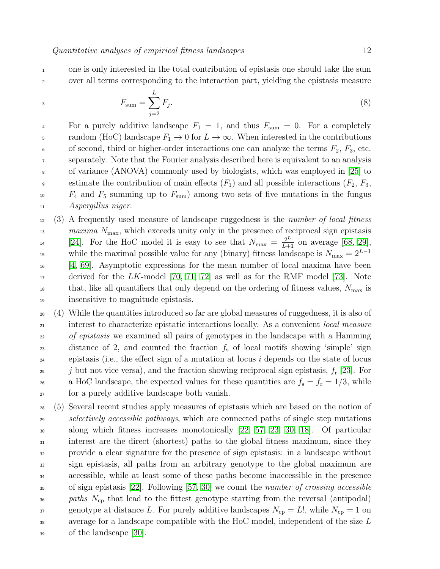<sup>1</sup> one is only interested in the total contribution of epistasis one should take the sum <sup>2</sup> over all terms corresponding to the interaction part, yielding the epistasis measure

$$
F_{\text{sum}} = \sum_{j=2}^{L} F_j.
$$
\n(8)

<sup>4</sup> For a purely additive landscape  $F_1 = 1$ , and thus  $F_{\text{sum}} = 0$ . For a completely 5 random (HoC) landscape  $F_1 \to 0$  for  $L \to \infty$ . When interested in the contributions 6 of second, third or higher-order interactions one can analyze the terms  $F_2$ ,  $F_3$ , etc. <sup>7</sup> separately. Note that the Fourier analysis described here is equivalent to an analysis <sup>8</sup> of variance (ANOVA) commonly used by biologists, which was employed in [\[25\]](#page-21-26) to estimate the contribution of main effects  $(F_1)$  and all possible interactions  $(F_2, F_3,$  $F_4$  and  $F_5$  summing up to  $F_{\text{sum}}$  among two sets of five mutations in the fungus <sup>11</sup> Aspergillus niger.

- $12 \quad (3)$  A frequently used measure of landscape ruggedness is the *number of local fitness*  $13$  maxima  $N_{\text{max}}$ , which exceeds unity only in the presence of reciprocal sign epistasis <sup>14</sup> [\[24\]](#page-21-25). For the HoC model it is easy to see that  $N_{\text{max}} = \frac{2^L}{L+1}$  on average [\[68,](#page-22-33) [29\]](#page-21-28), while the maximal possible value for any (binary) fitness landscape is  $N_{\text{max}} = 2^{L-1}$ 15 <sup>16</sup> [\[4,](#page-21-3) [69\]](#page-22-34). Asymptotic expressions for the mean number of local maxima have been  $17$  derived for the LK-model [\[70,](#page-22-35) [71,](#page-22-36) [72\]](#page-22-37) as well as for the RMF model [\[73\]](#page-22-38). Note <sup>18</sup> that, like all quantifiers that only depend on the ordering of fitness values,  $N_{\text{max}}$  is <sup>19</sup> insensitive to magnitude epistasis.
- <sup>20</sup> (4) While the quantities introduced so far are global measures of ruggedness, it is also of <sup>21</sup> interest to characterize epistatic interactions locally. As a convenient local measure <sup>22</sup> of epistasis we examined all pairs of genotypes in the landscape with a Hamming 23 distance of 2, and counted the fraction  $f_s$  of local motifs showing 'simple' sign <sup>24</sup> epistasis (i.e., the effect sign of a mutation at locus i depends on the state of locus <sup>25</sup> *j* but not vice versa), and the fraction showing reciprocal sign epistasis,  $f_r$  [\[23\]](#page-21-24). For <sup>26</sup> a HoC landscape, the expected values for these quantities are  $f_s = f_r = 1/3$ , while <sup>27</sup> for a purely additive landscape both vanish.
- <sup>28</sup> (5) Several recent studies apply measures of epistasis which are based on the notion of <sup>29</sup> selectively accessible pathways, which are connected paths of single step mutations <sup>30</sup> along which fitness increases monotonically [\[22,](#page-21-21) [57,](#page-22-22) [23,](#page-21-24) [30,](#page-21-30) [18\]](#page-21-17). Of particular <sup>31</sup> interest are the direct (shortest) paths to the global fitness maximum, since they <sup>32</sup> provide a clear signature for the presence of sign epistasis: in a landscape without <sup>33</sup> sign epistasis, all paths from an arbitrary genotype to the global maximum are <sup>34</sup> accessible, while at least some of these paths become inaccessible in the presence <sup>35</sup> of sign epistasis [\[22\]](#page-21-21). Following [\[57,](#page-22-22) [30\]](#page-21-30) we count the number of crossing accessible <sup>36</sup> paths  $N_{cp}$  that lead to the fittest genotype starting from the reversal (antipodal) 37 genotype at distance L. For purely additive landscapes  $N_{cp} = L!$ , while  $N_{cp} = 1$  on <sup>38</sup> average for a landscape compatible with the HoC model, independent of the size L <sup>39</sup> of the landscape [\[30\]](#page-21-30).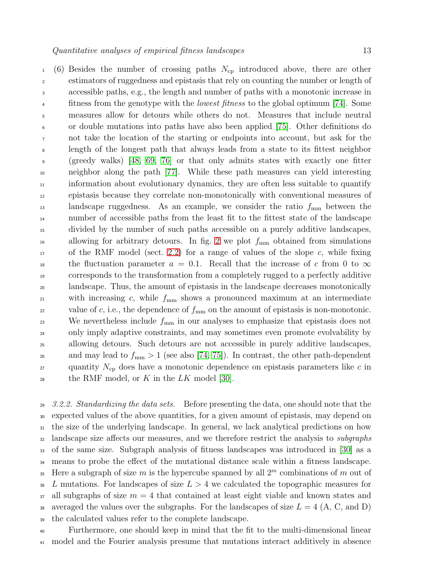$1 \quad (6)$  Besides the number of crossing paths  $N_{cp}$  introduced above, there are other estimators of ruggedness and epistasis that rely on counting the number or length of accessible paths, e.g., the length and number of paths with a monotonic increase in <sup>4</sup> fitness from the genotype with the *lowest fitness* to the global optimum [\[74\]](#page-22-39). Some measures allow for detours while others do not. Measures that include neutral or double mutations into paths have also been applied [\[75\]](#page-22-40). Other definitions do not take the location of the starting or endpoints into account, but ask for the length of the longest path that always leads from a state to its fittest neighbor (greedy walks) [\[48,](#page-22-13) [69,](#page-22-34) [76\]](#page-22-41) or that only admits states with exactly one fitter neighbor along the path [\[77\]](#page-23-0). While these path measures can yield interesting information about evolutionary dynamics, they are often less suitable to quantify epistasis because they correlate non-monotonically with conventional measures of 13 landscape ruggedness. As an example, we consider the ratio  $f_{\text{mm}}$  between the number of accessible paths from the least fit to the fittest state of the landscape divided by the number of such paths accessible on a purely additive landscapes, <sup>16</sup> allowing for arbitrary detours. In fig. [2](#page-13-0) we plot  $f_{\text{mm}}$  obtained from simulations of the RMF model (sect. [2.2\)](#page-5-2) for a range of values of the slope c, while fixing <sup>18</sup> the fluctuation parameter  $a = 0.1$ . Recall that the increase of c from 0 to  $\infty$  corresponds to the transformation from a completely rugged to a perfectly additive landscape. Thus, the amount of epistasis in the landscape decreases monotonically 21 with increasing c, while  $f_{\text{mm}}$  shows a pronounced maximum at an intermediate <sup>22</sup> value of *c*, i.e., the dependence of  $f_{\text{mm}}$  on the amount of epistasis is non-monotonic. <sup>23</sup> We nevertheless include  $f_{\text{mm}}$  in our analyses to emphasize that epistasis does not only imply adaptive constraints, and may sometimes even promote evolvability by allowing detours. Such detours are not accessible in purely additive landscapes, <sup>26</sup> and may lead to  $f_{\text{mm}} > 1$  (see also [\[74,](#page-22-39) [75\]](#page-22-40)). In contrast, the other path-dependent <sup>27</sup> quantity  $N_{cp}$  does have a monotonic dependence on epistasis parameters like c in <sup>28</sup> the RMF model, or K in the  $LK$  model [\[30\]](#page-21-30).

 $29 \quad 3.2.2$ . Standardizing the data sets. Before presenting the data, one should note that the <sup>30</sup> expected values of the above quantities, for a given amount of epistasis, may depend on <sup>31</sup> the size of the underlying landscape. In general, we lack analytical predictions on how <sup>32</sup> landscape size affects our measures, and we therefore restrict the analysis to *subgraphs* <sup>33</sup> of the same size. Subgraph analysis of fitness landscapes was introduced in [\[30\]](#page-21-30) as a <sup>34</sup> means to probe the effect of the mutational distance scale within a fitness landscape. <sup>35</sup> Here a subgraph of size m is the hypercube spanned by all  $2^m$  combinations of m out of  $\overline{a}$  L mutations. For landscapes of size  $L > 4$  we calculated the topographic measures for  $37$  all subgraphs of size  $m = 4$  that contained at least eight viable and known states and 38 averaged the values over the subgraphs. For the landscapes of size  $L = 4$  (A, C, and D) <sup>39</sup> the calculated values refer to the complete landscape.

<sup>40</sup> Furthermore, one should keep in mind that the fit to the multi-dimensional linear <sup>41</sup> model and the Fourier analysis presume that mutations interact additively in absence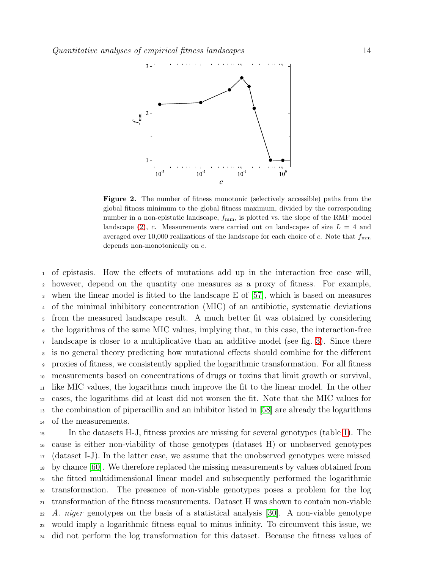

<span id="page-13-0"></span>Figure 2. The number of fitness monotonic (selectively accessible) paths from the global fitness minimum to the global fitness maximum, divided by the corresponding number in a non-epistatic landscape,  $f_{mm}$ , is plotted vs. the slope of the RMF model landscape  $(2)$ , c. Measurements were carried out on landscapes of size  $L = 4$  and averaged over 10,000 realizations of the landscape for each choice of c. Note that  $f_{\text{mm}}$ depends non-monotonically on c.

 of epistasis. How the effects of mutations add up in the interaction free case will, however, depend on the quantity one measures as a proxy of fitness. For example, when the linear model is fitted to the landscape E of [\[57\]](#page-22-22), which is based on measures of the minimal inhibitory concentration (MIC) of an antibiotic, systematic deviations from the measured landscape result. A much better fit was obtained by considering the logarithms of the same MIC values, implying that, in this case, the interaction-free landscape is closer to a multiplicative than an additive model (see fig. [3\)](#page-14-0). Since there is no general theory predicting how mutational effects should combine for the different proxies of fitness, we consistently applied the logarithmic transformation. For all fitness measurements based on concentrations of drugs or toxins that limit growth or survival, like MIC values, the logarithms much improve the fit to the linear model. In the other cases, the logarithms did at least did not worsen the fit. Note that the MIC values for the combination of piperacillin and an inhibitor listed in [\[58\]](#page-22-23) are already the logarithms of the measurements.

 In the datasets H-J, fitness proxies are missing for several genotypes (table [1\)](#page-8-0). The cause is either non-viability of those genotypes (dataset H) or unobserved genotypes (dataset I-J). In the latter case, we assume that the unobserved genotypes were missed by chance [\[60\]](#page-22-25). We therefore replaced the missing measurements by values obtained from the fitted multidimensional linear model and subsequently performed the logarithmic transformation. The presence of non-viable genotypes poses a problem for the log transformation of the fitness measurements. Dataset H was shown to contain non-viable A. niger genotypes on the basis of a statistical analysis [\[30\]](#page-21-30). A non-viable genotype would imply a logarithmic fitness equal to minus infinity. To circumvent this issue, we did not perform the log transformation for this dataset. Because the fitness values of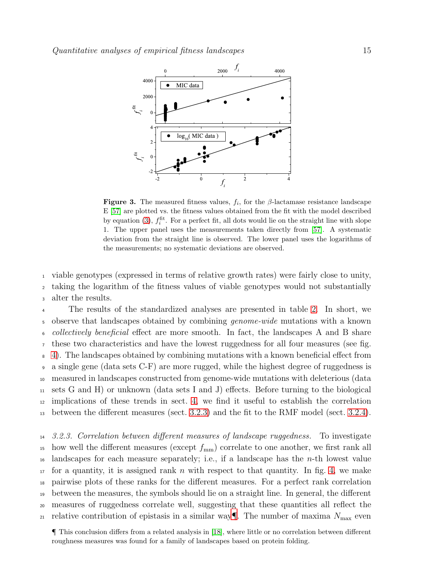

<span id="page-14-0"></span>**Figure 3.** The measured fitness values,  $f_i$ , for the  $\beta$ -lactamase resistance landscape E [\[57\]](#page-22-22) are plotted vs. the fitness values obtained from the fit with the model described by equation [\(3\)](#page-9-1),  $f_i^{\text{fit}}$ . For a perfect fit, all dots would lie on the straight line with slope 1. The upper panel uses the measurements taken directly from [\[57\]](#page-22-22). A systematic deviation from the straight line is observed. The lower panel uses the logarithms of the measurements; no systematic deviations are observed.

<sup>1</sup> viable genotypes (expressed in terms of relative growth rates) were fairly close to unity, <sup>2</sup> taking the logarithm of the fitness values of viable genotypes would not substantially

<sup>3</sup> alter the results.

<sup>4</sup> The results of the standardized analyses are presented in table [2.](#page-15-0) In short, we 5 observe that landscapes obtained by combining *genome-wide* mutations with a known collectively beneficial effect are more smooth. In fact, the landscapes A and B share these two characteristics and have the lowest ruggedness for all four measures (see fig. [4\)](#page-16-0). The landscapes obtained by combining mutations with a known beneficial effect from a single gene (data sets C-F) are more rugged, while the highest degree of ruggedness is measured in landscapes constructed from genome-wide mutations with deleterious (data sets G and H) or unknown (data sets I and J) effects. Before turning to the biological implications of these trends in sect. [4,](#page-18-0) we find it useful to establish the correlation between the different measures (sect. [3.2.3\)](#page-14-1) and the fit to the RMF model (sect. [3.2.4\)](#page-16-1).

<span id="page-14-1"></span> 3.2.3. Correlation between different measures of landscape ruggedness. To investigate <sup>15</sup> how well the different measures (except  $f_{\text{mm}}$ ) correlate to one another, we first rank all landscapes for each measure separately; i.e., if a landscape has the *n*-th lowest value for a quantity, it is assigned rank n with respect to that quantity. In fig. [4,](#page-16-0) we make pairwise plots of these ranks for the different measures. For a perfect rank correlation between the measures, the symbols should lie on a straight line. In general, the different measures of ruggedness correlate well, suggesting that these quantities all reflect the 21 relative contribution of epistasis in a similar way. The number of maxima  $N_{\text{max}}$  even

<span id="page-14-2"></span>¶ This conclusion differs from a related analysis in [\[18\]](#page-21-17), where little or no correlation between different roughness measures was found for a family of landscapes based on protein folding.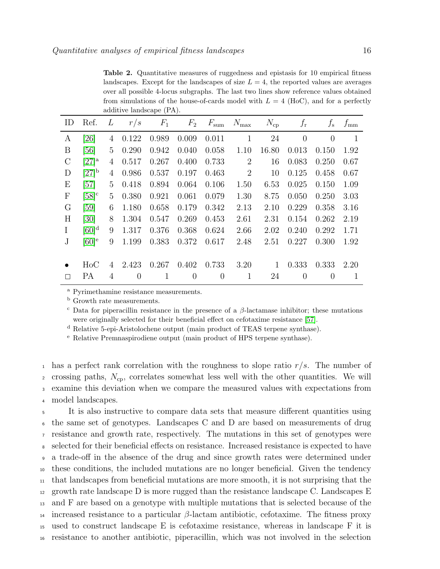<span id="page-15-0"></span>Table 2. Quantitative measures of ruggedness and epistasis for 10 empirical fitness landscapes. Except for the landscapes of size  $L = 4$ , the reported values are averages over all possible 4-locus subgraphs. The last two lines show reference values obtained from simulations of the house-of-cards model with  $L = 4$  (HoC), and for a perfectly additive landscape (PA).

| ID                        | Ref.                | L           |                | $r/s$ $F_1$ $F_2$ $F_{\text{sum}}$ |                |                | $N_{\rm max}$  |          | $N_{\rm cp}$ $f_{\rm r}$ | $f_{\rm s}$ | $f_{\rm mm}$ |
|---------------------------|---------------------|-------------|----------------|------------------------------------|----------------|----------------|----------------|----------|--------------------------|-------------|--------------|
| A                         | [26]                | 4           | 0.122          | 0.989                              | 0.009          | 0.011          | $\mathbf{1}$   | 24       | $\overline{0}$           | $\theta$    | $\mathbf{1}$ |
| B                         | [56]                | 5           | 0.290          | 0.942                              | 0.040          | 0.058          | 1.10           | 16.80    | 0.013                    | 0.150       | 1.92         |
| $\mathcal{C}$             | $[27]^{\rm a}$      | 4           | 0.517          | 0.267                              | 0.400          | 0.733          | $\overline{2}$ | 16       | 0.083                    | 0.250       | 0.67         |
| D                         | $[27]$ <sup>b</sup> | 4           | 0.986          | 0.537                              | 0.197          | 0.463          | 2              | 10       | 0.125                    | 0.458       | 0.67         |
| E                         | [57]                | $5^{\circ}$ | 0.418          | 0.894                              | 0.064          | 0.106          | 1.50           | 6.53     | 0.025                    | 0.150       | 1.09         |
| $\boldsymbol{\mathrm{F}}$ | $[58]$ <sup>c</sup> | $5^{\circ}$ | 0.380          | 0.921                              | 0.061          | 0.079          | 1.30           | 8.75     | 0.050                    | 0.250       | 3.03         |
| G                         | [59]                | 6           | 1.180          | 0.658                              | 0.179          | 0.342          | 2.13           | 2.10     | 0.229                    | 0.358       | 3.16         |
| H                         | $\left[30\right]$   | 8           | 1.304          | 0.547                              | 0.269          | 0.453          | 2.61           | 2.31     | 0.154                    | 0.262       | 2.19         |
| $\bf{I}$                  | $[60]$ <sup>d</sup> | 9           | 1.317          | 0.376                              | 0.368          | 0.624          | 2.66           | 2.02     | 0.240                    | 0.292       | 1.71         |
| $\rm J$                   | $[60]$ <sup>e</sup> | 9           | 1.199          | 0.383                              | 0.372          | 0.617          | 2.48           | 2.51     | 0.227                    | 0.300       | 1.92         |
|                           |                     |             |                |                                    |                |                |                |          |                          |             |              |
|                           | $H_0C$              | 4           | 2.423          | 0.267                              | 0.402          | 0.733          | 3.20           | $\sim$ 1 | 0.333                    | 0.333       | 2.20         |
| П                         | PА                  | 4           | $\overline{0}$ | $\mathbf{1}$                       | $\overline{0}$ | $\overline{0}$ | $\mathbf{1}$   | 24       | $\theta$                 | $\theta$    | $\mathbf{1}$ |

<sup>a</sup> Pyrimethamine resistance measurements.

<sup>b</sup> Growth rate measurements.

<sup>c</sup> Data for piperacillin resistance in the presence of a  $\beta$ -lactamase inhibitor; these mutations were originally selected for their beneficial effect on cefotaxime resistance [\[57\]](#page-22-22).

<sup>d</sup> Relative 5-epi-Aristolochene output (main product of TEAS terpene synthase).

<sup>e</sup> Relative Premnaspirodiene output (main product of HPS terpene synthase).

<sup>1</sup> has a perfect rank correlation with the roughness to slope ratio  $r/s$ . The number of 2 crossing paths,  $N_{cp}$ , correlates somewhat less well with the other quantities. We will <sup>3</sup> examine this deviation when we compare the measured values with expectations from <sup>4</sup> model landscapes.

 It is also instructive to compare data sets that measure different quantities using the same set of genotypes. Landscapes C and D are based on measurements of drug resistance and growth rate, respectively. The mutations in this set of genotypes were selected for their beneficial effects on resistance. Increased resistance is expected to have a trade-off in the absence of the drug and since growth rates were determined under these conditions, the included mutations are no longer beneficial. Given the tendency that landscapes from beneficial mutations are more smooth, it is not surprising that the 12 growth rate landscape  $D$  is more rugged than the resistance landscape C. Landscapes  $E$  and F are based on a genotype with multiple mutations that is selected because of the 14 increased resistance to a particular  $\beta$ -lactam antibiotic, cefotaxime. The fitness proxy used to construct landscape E is cefotaxime resistance, whereas in landscape F it is resistance to another antibiotic, piperacillin, which was not involved in the selection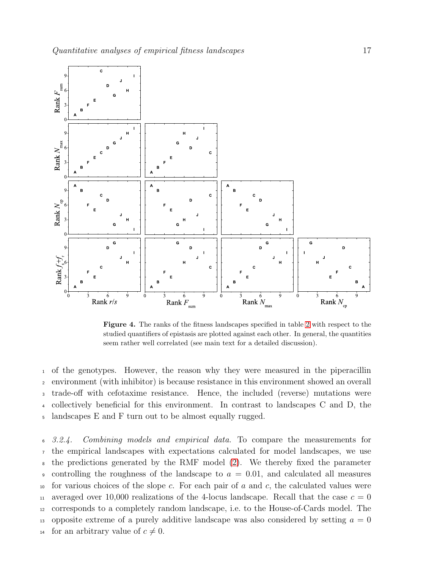

<span id="page-16-0"></span>Figure 4. The ranks of the fitness landscapes specified in table [2](#page-15-0) with respect to the studied quantifiers of epistasis are plotted against each other. In general, the quantities seem rather well correlated (see main text for a detailed discussion).

 of the genotypes. However, the reason why they were measured in the piperacillin environment (with inhibitor) is because resistance in this environment showed an overall trade-off with cefotaxime resistance. Hence, the included (reverse) mutations were collectively beneficial for this environment. In contrast to landscapes C and D, the landscapes E and F turn out to be almost equally rugged.

<span id="page-16-1"></span><sup>6</sup> 3.2.4. Combining models and empirical data. To compare the measurements for <sup>7</sup> the empirical landscapes with expectations calculated for model landscapes, we use <sup>8</sup> the predictions generated by the RMF model [\(2\)](#page-5-1). We thereby fixed the parameter  $\bullet$  controlling the roughness of the landscape to  $a = 0.01$ , and calculated all measures 10 for various choices of the slope c. For each pair of  $a$  and  $c$ , the calculated values were <sup>11</sup> averaged over 10,000 realizations of the 4-locus landscape. Recall that the case  $c = 0$ <sup>12</sup> corresponds to a completely random landscape, i.e. to the House-of-Cards model. The 13 opposite extreme of a purely additive landscape was also considered by setting  $a = 0$ <sup>14</sup> for an arbitrary value of  $c \neq 0$ .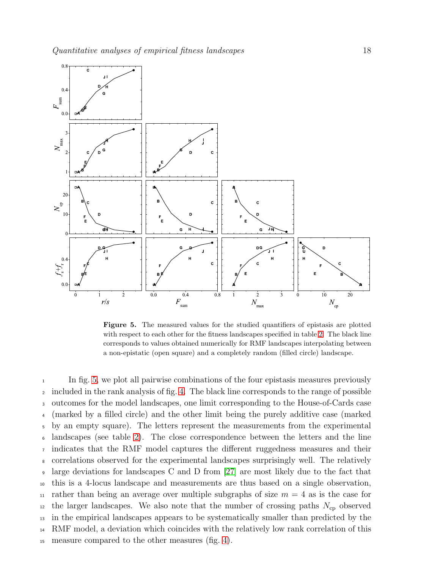

<span id="page-17-0"></span>Figure 5. The measured values for the studied quantifiers of epistasis are plotted with respect to each other for the fitness landscapes specified in table [2.](#page-15-0) The black line corresponds to values obtained numerically for RMF landscapes interpolating between a non-epistatic (open square) and a completely random (filled circle) landscape.

<sup>1</sup> In fig. [5,](#page-17-0) we plot all pairwise combinations of the four epistasis measures previously included in the rank analysis of fig. [4.](#page-16-0) The black line corresponds to the range of possible outcomes for the model landscapes, one limit corresponding to the House-of-Cards case (marked by a filled circle) and the other limit being the purely additive case (marked by an empty square). The letters represent the measurements from the experimental landscapes (see table [2\)](#page-15-0). The close correspondence between the letters and the line indicates that the RMF model captures the different ruggedness measures and their correlations observed for the experimental landscapes surprisingly well. The relatively large deviations for landscapes C and D from [\[27\]](#page-21-23) are most likely due to the fact that this is a 4-locus landscape and measurements are thus based on a single observation, <sup>11</sup> rather than being an average over multiple subgraphs of size  $m = 4$  as is the case for <sup>12</sup> the larger landscapes. We also note that the number of crossing paths  $N_{cp}$  observed in the empirical landscapes appears to be systematically smaller than predicted by the RMF model, a deviation which coincides with the relatively low rank correlation of this measure compared to the other measures (fig. [4\)](#page-16-0).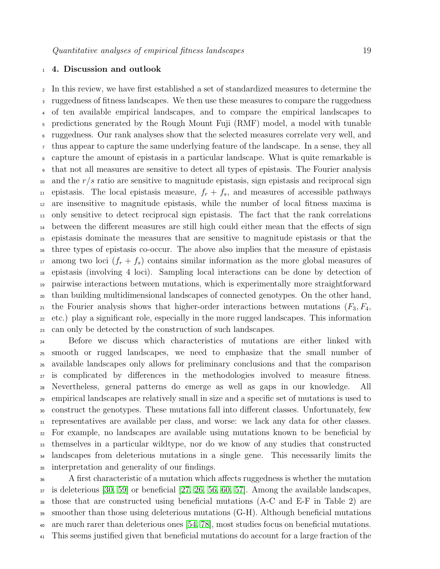# <span id="page-18-0"></span>4. Discussion and outlook

 In this review, we have first established a set of standardized measures to determine the ruggedness of fitness landscapes. We then use these measures to compare the ruggedness of ten available empirical landscapes, and to compare the empirical landscapes to predictions generated by the Rough Mount Fuji (RMF) model, a model with tunable ruggedness. Our rank analyses show that the selected measures correlate very well, and thus appear to capture the same underlying feature of the landscape. In a sense, they all capture the amount of epistasis in a particular landscape. What is quite remarkable is that not all measures are sensitive to detect all types of epistasis. The Fourier analysis and the r/s ratio are sensitive to magnitude epistasis, sign epistasis and reciprocal sign <sup>11</sup> epistasis. The local epistasis measure,  $f_r + f_s$ , and measures of accessible pathways are insensitive to magnitude epistasis, while the number of local fitness maxima is only sensitive to detect reciprocal sign epistasis. The fact that the rank correlations between the different measures are still high could either mean that the effects of sign epistasis dominate the measures that are sensitive to magnitude epistasis or that the three types of epistasis co-occur. The above also implies that the measure of epistasis <sup>17</sup> among two loci  $(f_r + f_s)$  contains similar information as the more global measures of epistasis (involving 4 loci). Sampling local interactions can be done by detection of pairwise interactions between mutations, which is experimentally more straightforward than building multidimensional landscapes of connected genotypes. On the other hand, <sup>21</sup> the Fourier analysis shows that higher-order interactions between mutations  $(F_3, F_4,$  etc.) play a significant role, especially in the more rugged landscapes. This information can only be detected by the construction of such landscapes.

 Before we discuss which characteristics of mutations are either linked with smooth or rugged landscapes, we need to emphasize that the small number of available landscapes only allows for preliminary conclusions and that the comparison is complicated by differences in the methodologies involved to measure fitness. Nevertheless, general patterns do emerge as well as gaps in our knowledge. All empirical landscapes are relatively small in size and a specific set of mutations is used to construct the genotypes. These mutations fall into different classes. Unfortunately, few representatives are available per class, and worse: we lack any data for other classes. For example, no landscapes are available using mutations known to be beneficial by themselves in a particular wildtype, nor do we know of any studies that constructed <sup>34</sup> landscapes from deleterious mutations in a single gene. This necessarily limits the interpretation and generality of our findings.

 A first characteristic of a mutation which affects ruggedness is whether the mutation is deleterious [\[30,](#page-21-30) [59\]](#page-22-24) or beneficial [\[27,](#page-21-23) [26,](#page-21-22) [56,](#page-22-21) [60,](#page-22-25) [57\]](#page-22-22). Among the available landscapes, those that are constructed using beneficial mutations (A-C and E-F in Table 2) are smoother than those using deleterious mutations (G-H). Although beneficial mutations are much rarer than deleterious ones [\[54,](#page-22-19) [78\]](#page-23-1), most studies focus on beneficial mutations. This seems justified given that beneficial mutations do account for a large fraction of the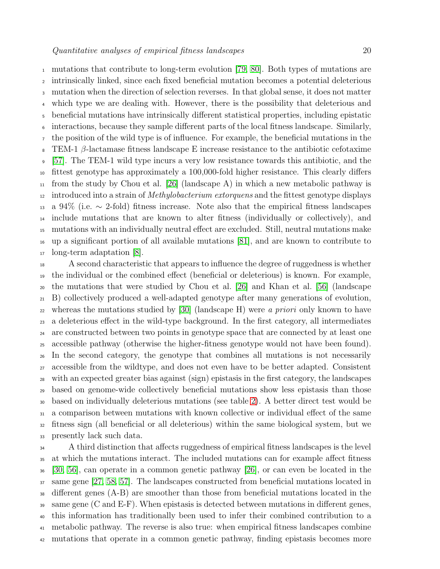mutations that contribute to long-term evolution [\[79,](#page-23-2) [80\]](#page-23-3). Both types of mutations are intrinsically linked, since each fixed beneficial mutation becomes a potential deleterious mutation when the direction of selection reverses. In that global sense, it does not matter which type we are dealing with. However, there is the possibility that deleterious and beneficial mutations have intrinsically different statistical properties, including epistatic interactions, because they sample different parts of the local fitness landscape. Similarly, the position of the wild type is of influence. For example, the beneficial mutations in the  $\epsilon$  TEM-1 β-lactamase fitness landscape E increase resistance to the antibiotic cefotaxime [\[57\]](#page-22-22). The TEM-1 wild type incurs a very low resistance towards this antibiotic, and the fittest genotype has approximately a 100,000-fold higher resistance. This clearly differs  $_{11}$  from the study by Chou et al. [\[26\]](#page-21-22) (landscape A) in which a new metabolic pathway is <sup>12</sup> introduced into a strain of *Methylobacterium extorquens* and the fittest genotype displays a 94% (i.e. ∼ 2-fold) fitness increase. Note also that the empirical fitness landscapes include mutations that are known to alter fitness (individually or collectively), and mutations with an individually neutral effect are excluded. Still, neutral mutations make up a significant portion of all available mutations [\[81\]](#page-23-4), and are known to contribute to long-term adaptation [\[8\]](#page-21-7).

 A second characteristic that appears to influence the degree of ruggedness is whether the individual or the combined effect (beneficial or deleterious) is known. For example, the mutations that were studied by Chou et al. [\[26\]](#page-21-22) and Khan et al. [\[56\]](#page-22-21) (landscape B) collectively produced a well-adapted genotype after many generations of evolution, <sup>22</sup> whereas the mutations studied by [\[30\]](#page-21-30) (landscape H) were a priori only known to have a deleterious effect in the wild-type background. In the first category, all intermediates are constructed between two points in genotype space that are connected by at least one accessible pathway (otherwise the higher-fitness genotype would not have been found). In the second category, the genotype that combines all mutations is not necessarily accessible from the wildtype, and does not even have to be better adapted. Consistent with an expected greater bias against (sign) epistasis in the first category, the landscapes based on genome-wide collectively beneficial mutations show less epistasis than those based on individually deleterious mutations (see table [2\)](#page-15-0). A better direct test would be a comparison between mutations with known collective or individual effect of the same fitness sign (all beneficial or all deleterious) within the same biological system, but we presently lack such data.

<sup>34</sup> A third distinction that affects ruggedness of empirical fitness landscapes is the level at which the mutations interact. The included mutations can for example affect fitness [\[30,](#page-21-30) [56\]](#page-22-21), can operate in a common genetic pathway [\[26\]](#page-21-22), or can even be located in the same gene [\[27,](#page-21-23) [58,](#page-22-23) [57\]](#page-22-22). The landscapes constructed from beneficial mutations located in different genes (A-B) are smoother than those from beneficial mutations located in the same gene (C and E-F). When epistasis is detected between mutations in different genes, this information has traditionally been used to infer their combined contribution to a metabolic pathway. The reverse is also true: when empirical fitness landscapes combine mutations that operate in a common genetic pathway, finding epistasis becomes more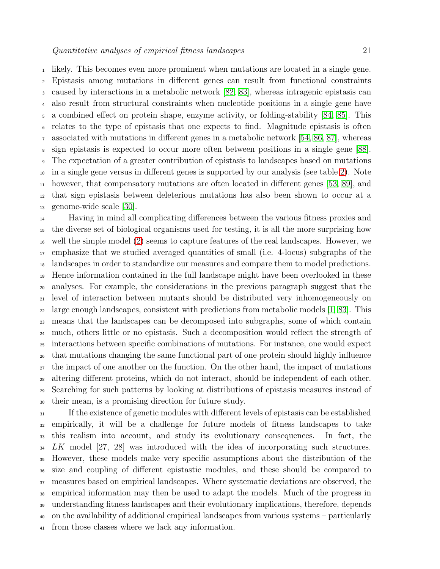likely. This becomes even more prominent when mutations are located in a single gene. Epistasis among mutations in different genes can result from functional constraints caused by interactions in a metabolic network [\[82,](#page-23-5) [83\]](#page-23-6), whereas intragenic epistasis can also result from structural constraints when nucleotide positions in a single gene have a combined effect on protein shape, enzyme activity, or folding-stability [\[84,](#page-23-7) [85\]](#page-23-8). This relates to the type of epistasis that one expects to find. Magnitude epistasis is often associated with mutations in different genes in a metabolic network [\[54,](#page-22-19) [86,](#page-23-9) [87\]](#page-23-10), whereas sign epistasis is expected to occur more often between positions in a single gene [\[88\]](#page-23-11). The expectation of a greater contribution of epistasis to landscapes based on mutations in a single gene versus in different genes is supported by our analysis (see table [2\)](#page-15-0). Note however, that compensatory mutations are often located in different genes [\[53,](#page-22-18) [89\]](#page-23-12), and that sign epistasis between deleterious mutations has also been shown to occur at a genome-wide scale [\[30\]](#page-21-30).

 Having in mind all complicating differences between the various fitness proxies and the diverse set of biological organisms used for testing, it is all the more surprising how well the simple model [\(2\)](#page-5-1) seems to capture features of the real landscapes. However, we emphasize that we studied averaged quantities of small (i.e. 4-locus) subgraphs of the landscapes in order to standardize our measures and compare them to model predictions. Hence information contained in the full landscape might have been overlooked in these analyses. For example, the considerations in the previous paragraph suggest that the level of interaction between mutants should be distributed very inhomogeneously on large enough landscapes, consistent with predictions from metabolic models [\[1,](#page-21-0) [83\]](#page-23-6). This means that the landscapes can be decomposed into subgraphs, some of which contain much, others little or no epistasis. Such a decomposition would reflect the strength of interactions between specific combinations of mutations. For instance, one would expect that mutations changing the same functional part of one protein should highly influence the impact of one another on the function. On the other hand, the impact of mutations altering different proteins, which do not interact, should be independent of each other. Searching for such patterns by looking at distributions of epistasis measures instead of their mean, is a promising direction for future study.

 If the existence of genetic modules with different levels of epistasis can be established empirically, it will be a challenge for future models of fitness landscapes to take this realism into account, and study its evolutionary consequences. In fact, the <sup>34</sup> LK model [27, 28] was introduced with the idea of incorporating such structures. However, these models make very specific assumptions about the distribution of the size and coupling of different epistastic modules, and these should be compared to measures based on empirical landscapes. Where systematic deviations are observed, the empirical information may then be used to adapt the models. Much of the progress in understanding fitness landscapes and their evolutionary implications, therefore, depends on the availability of additional empirical landscapes from various systems – particularly from those classes where we lack any information.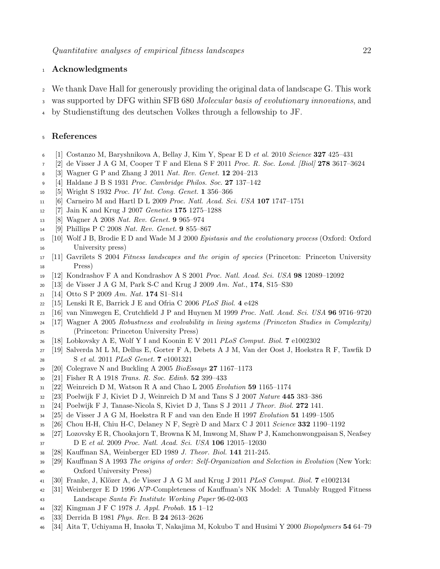# Acknowledgments

- We thank Dave Hall for generously providing the original data of landscape G. This work
- <sup>3</sup> was supported by DFG within SFB 680 Molecular basis of evolutionary innovations, and
- by Studienstiftung des deutschen Volkes through a fellowship to JF.

## <span id="page-21-0"></span>References

- <span id="page-21-1"></span>[1] Costanzo M, Baryshnikova A, Bellay J, Kim Y, Spear E D *et al.* 2010 *Science* 327 425–431
- <span id="page-21-2"></span>[2] de Visser J A G M, Cooper T F and Elena S F 2011 *Proc. R. Soc. Lond. [Biol]* 278 3617–3624
- <span id="page-21-3"></span>[3] Wagner G P and Zhang J 2011 *Nat. Rev. Genet.* 12 204–213
- <span id="page-21-4"></span>[4] Haldane J B S 1931 *Proc. Cambridge Philos. Soc.* 27 137–142
- <span id="page-21-5"></span>[5] Wright S 1932 *Proc. IV Int. Cong. Genet.* 1 356–366
- <span id="page-21-6"></span>[6] Carneiro M and Hartl D L 2009 *Proc. Natl. Acad. Sci. USA* 107 1747–1751
- <span id="page-21-7"></span>[7] Jain K and Krug J 2007 *Genetics* 175 1275–1288
- <span id="page-21-8"></span>[8] Wagner A 2008 *Nat. Rev. Genet.* 9 965–974
- <span id="page-21-9"></span>[9] Phillips P C 2008 *Nat. Rev. Genet.* 9 855–867
- <span id="page-21-10"></span> [10] Wolf J B, Brodie E D and Wade M J 2000 *Epistasis and the evolutionary process* (Oxford: Oxford University press)
- <span id="page-21-11"></span> [11] Gavrilets S 2004 *Fitness landscapes and the origin of species* (Princeton: Princeton University Press)
- <span id="page-21-12"></span>[12] Kondrashov F A and Kondrashov A S 2001 *Proc. Natl. Acad. Sci. USA* 98 12089–12092
- <span id="page-21-13"></span>[13] de Visser J A G M, Park S-C and Krug J 2009 *Am. Nat.*, 174, S15–S30
- <span id="page-21-14"></span>[14] Otto S P 2009 *Am. Nat.* 174 S1–S14
- <span id="page-21-15"></span>[15] Lenski R E, Barrick J E and Ofria C 2006 *PLoS Biol.* 4 e428
- <span id="page-21-16"></span>[16] van Nimwegen E, Crutchfield J P and Huynen M 1999 *Proc. Natl. Acad. Sci. USA* 96 9716–9720
- [17] Wagner A 2005 *Robustness and evolvability in living systems (Princeton Studies in Complexity)* (Princeton: Princeton University Press)
- <span id="page-21-18"></span><span id="page-21-17"></span>[18] Lobkovsky A E, Wolf Y I and Koonin E V 2011 *PLoS Comput. Biol.* 7 e1002302
- <span id="page-21-19"></span> [19] Salverda M L M, Dellus E, Gorter F A, Debets A J M, Van der Oost J, Hoekstra R F, Tawfik D S *et al.* 2011 *PLoS Genet.* 7 e1001321
- <span id="page-21-20"></span>[20] Colegrave N and Buckling A 2005 *BioEssays* 27 1167–1173
- <span id="page-21-21"></span>[21] Fisher R A 1918 *Trans. R. Soc. Edinb.* 52 399–433
- <span id="page-21-24"></span>[22] Weinreich D M, Watson R A and Chao L 2005 *Evolution* 59 1165–1174
- <span id="page-21-25"></span>[23] Poelwijk F J, Kiviet D J, Weinreich D M and Tans S J 2007 *Nature* 445 383–386
- <span id="page-21-26"></span>[24] Poelwijk F J, Tanase-Nicola S, Kiviet D J, Tans S J 2011 *J Theor. Biol.* 272 141.
- <span id="page-21-22"></span>[25] de Visser J A G M, Hoekstra R F and van den Ende H 1997 *Evolution* 51 1499–1505
- <span id="page-21-23"></span>[26] Chou H-H, Chiu H-C, Delaney N F, Segr`e D and Marx C J 2011 *Science* 332 1190–1192
- <span id="page-21-27"></span> [27] Lozovsky E R, Chookajorn T, Browna K M, Imwong M, Shaw P J, Kamchonwongpaisan S, Neafsey D E *et al.* 2009 *Proc. Natl. Acad. Sci. USA* 106 12015–12030
- <span id="page-21-28"></span>[28] Kauffman SA, Weinberger ED 1989 *J. Theor. Biol.* 141 211-245.
- [29] Kauffman S A 1993 *The origins of order: Self-Organization and Selection in Evolution* (New York: Oxford University Press)
- <span id="page-21-30"></span><span id="page-21-29"></span>[30] Franke, J, Kl¨ozer A, de Visser J A G M and Krug J 2011 *PLoS Comput. Biol.* 7 e1002134
- 42 [31] Weinberger E D 1996  $\mathcal{NP}$ -Completeness of Kauffman's NK Model: A Tunably Rugged Fitness Landscape *Santa Fe Institute Working Paper* 96-02-003
- <span id="page-21-33"></span><span id="page-21-31"></span>[32] Kingman J F C 1978 *J. Appl. Probab.* 15 1–12
- <span id="page-21-32"></span>[33] Derrida B 1981 *Phys. Rev.* B 24 2613–2626
- [34] Aita T, Uchiyama H, Inaoka T, Nakajima M, Kokubo T and Husimi Y 2000 *Biopolymers* 54 64–79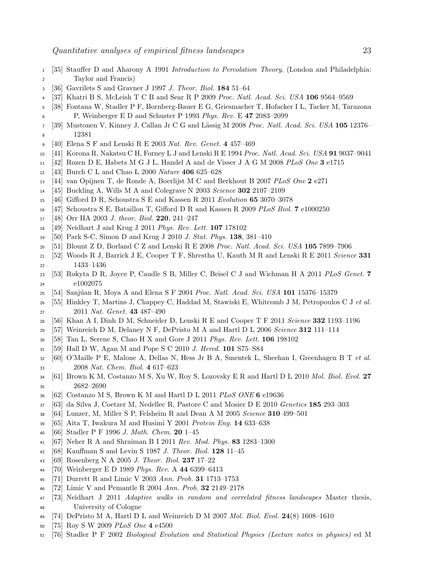- <span id="page-22-1"></span><span id="page-22-0"></span> [35] Stauffer D and Aharony A 1991 *Introduction to Percolation Theory*, (London and Philadelphia: Taylor and Francis)
- <span id="page-22-2"></span>[36] Gavrilets S and Gravner J 1997 *J. Theor. Biol.* 184 51–64
- <span id="page-22-3"></span>[37] Khatri B S, McLeish T C B and Sear R P 2009 *Proc. Natl. Acad. Sci. USA* 106 9564–9569
- <span id="page-22-4"></span> [38] Fontana W, Stadler P F, Bornberg-Bauer E G, Griesmacher T, Hofacker I L, Tacker M, Tarazona P, Weinberger E D and Schuster P 1993 *Phys. Rev.* E 47 2083–2099
- <span id="page-22-5"></span> [39] Mustonen V, Kinney J, Callan Jr C G and L¨assig M 2008 *Proc. Natl. Acad. Sci. USA* 105 12376– 12381
- <span id="page-22-6"></span>[40] Elena S F and Lenski R E 2003 *Nat. Rev. Genet.* 4 457–469
- <span id="page-22-7"></span>[41] Korona R, Nakatsu C H, Forney L J and Lenski R E 1994 *Proc. Natl. Acad. Sci. USA* 91 9037–9041
- <span id="page-22-8"></span>[42] Rozen D E, Habets M G J L, Handel A and de Visser J A G M 2008 *PLoS One* 3 e1715
- <span id="page-22-9"></span>[43] Burch C L and Chao L 2000 *Nature* 406 625–628
- <span id="page-22-10"></span>[44] van Opijnen T, de Ronde A, Boerlijst M C and Berkhout B 2007 *PLoS One* 2 e271
- <span id="page-22-11"></span>[45] Buckling A, Wills M A and Colegrave N 2003 *Science* 302 2107–2109
- <span id="page-22-12"></span>[46] Gifford D R, Schoustra S E and Kassen R 2011 *Evolution* 65 3070–3078
- <span id="page-22-13"></span>[47] Schoustra S E, Bataillon T, Gifford D R and Kassen R 2009 *PLoS Biol.* 7 e1000250
- <span id="page-22-14"></span>[48] Orr HA 2003 *J. theor. Biol.* 220, 241–247
- <span id="page-22-15"></span>[49] Neidhart J and Krug J 2011 *Phys. Rev. Lett.* 107 178102
- <span id="page-22-16"></span>[50] Park S-C, Simon D and Krug J 2010 *J. Stat. Phys.* 138, 381–410
- <span id="page-22-17"></span>[51] Blount Z D, Borland C Z and Lenski R E 2008 *Proc. Natl. Acad. Sci. USA* 105 7899–7906
- <span id="page-22-18"></span> [52] Woods R J, Barrick J E, Cooper T F, Shrestha U, Kauth M R and Lenski R E 2011 *Science* 331 1433–1436
- <span id="page-22-19"></span> [53] Rokyta D R, Joyce P, Caudle S B, Miller C, Beisel C J and Wichman H A 2011 *PLoS Genet.* 7 e1002075
- <span id="page-22-20"></span>[54] Sanj´uan R, Moya A and Elena S F 2004 *Proc. Natl. Acad. Sci. USA* 101 15376–15379
- <span id="page-22-21"></span> [55] Hinkley T, Martins J, Chappey C, Haddad M, Stawiski E, Whitcomb J M, Petropoulos C J *et al.* 2011 *Nat. Genet.* 43 487–490
- <span id="page-22-22"></span>[56] Khan A I, Dinh D M, Schneider D, Lenski R E and Cooper T F 2011 *Science* 332 1193–1196
- <span id="page-22-23"></span>[57] Weinreich D M, Delaney N F, DePristo M A and Hartl D L 2006 *Science* 312 111–114
- <span id="page-22-24"></span>[58] Tan L, Serene S, Chao H X and Gore J 2011 *Phys. Rev. Lett.* 106 198102
- <span id="page-22-25"></span>[59] Hall D W, Agan M and Pope S C 2010 *J. Hered.* 101 S75–S84
- <span id="page-22-26"></span> [60] O'Maille P E, Malone A, Dellas N, Hess Jr B A, Smentek L, Sheehan I, Greenhagen B T *et al.* 2008 *Nat. Chem. Biol.* 4 617–623
- <span id="page-22-27"></span> [61] Brown K M, Costanzo M S, Xu W, Roy S, Lozovsky E R and Hartl D L 2010 *Mol. Biol. Evol.* 27 2682–2690
- <span id="page-22-28"></span>[62] Costanzo M S, Brown K M and Hartl D L 2011 *PLoS ONE* 6 e19636
- <span id="page-22-29"></span>[63] da Silva J, Coetzer M, Nedellec R, Pastore C and Mosier D E 2010 *Genetics* 185 293–303
- <span id="page-22-30"></span>[64] Lunzer, M, Miller S P, Felsheim R and Dean A M 2005 *Science* 310 499–501
- <span id="page-22-31"></span>[65] Aita T, Iwakura M and Husimi Y 2001 *Protein Eng.* 14 633–638
- <span id="page-22-32"></span>[66] Stadler P F 1996 *J. Math. Chem.* 20 1–45
- <span id="page-22-33"></span>[67] Neher R A and Shraiman B I 2011 *Rev. Mod. Phys.* 83 1283–1300
- <span id="page-22-34"></span>[68] Kauffman S and Levin S 1987 *J. Theor. Biol.* 128 11–45
- <span id="page-22-35"></span>[69] Rosenberg N A 2005 *J. Theor. Biol.* 237 17–22
- <span id="page-22-36"></span>[70] Weinberger E D 1989 *Phys. Rev.* A 44 6399–6413
- <span id="page-22-37"></span>[71] Durrett R and Limic V 2003 *Ann. Prob.* 31 1713–1753
- <span id="page-22-38"></span>[72] Limic V and Pemantle R 2004 *Ann. Prob.* 32 2149–2178
- [73] Neidhart J 2011 *Adaptive walks in random and correlated fitness landscapes* Master thesis, University of Cologne
- <span id="page-22-40"></span><span id="page-22-39"></span>[74] DePristo M A, Hartl D L and Weinreich D M 2007 *Mol. Biol. Evol.* 24(8) 1608–1610
- <span id="page-22-41"></span>[75] Roy S W 2009 *PLoS One* 4 e4500
- [76] Stadler P F 2002 *Biological Evolution and Statistical Physics (Lecture notes in physics)* ed M